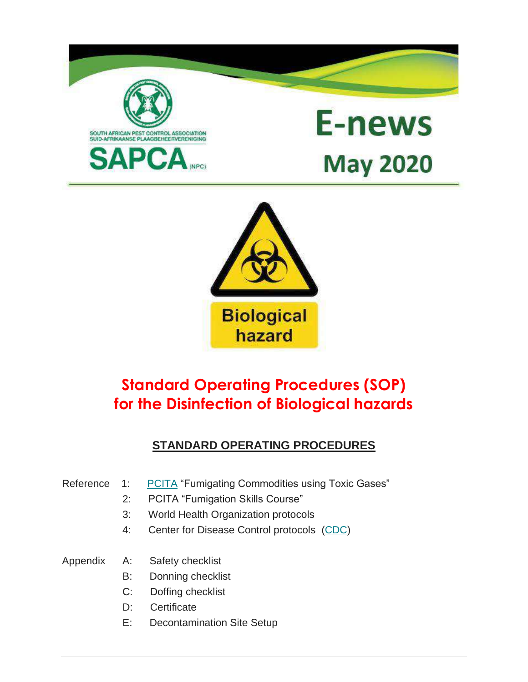



# **Standard Operating Procedures (SOP) for the Disinfection of Biological hazards**

### **STANDARD OPERATING PROCEDURES**

- Reference 1: [PCITA](http://www.pcita.org.za/) "Fumigating Commodities using Toxic Gases"
	- 2: PCITA "Fumigation Skills Course"
	- 3: World Health Organization protocols
	- 4: Center for Disease Control protocols [\(CDC\)](https://www.cdc.gov/)

#### Appendix A: Safety checklist

- B: Donning checklist
- C: Doffing checklist
- D: Certificate
- E: Decontamination Site Setup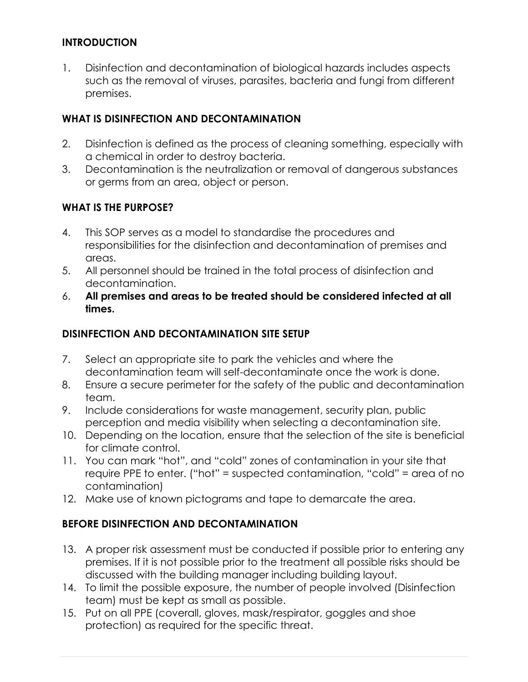#### **INTRODUCTION**

1. Disinfection and decontamination of biological hazards includes aspects such as the removal of viruses, parasites, bacteria and fungi from different premises.

### **WHAT IS DISINFECTION AND DECONTAMINATION**

- 2. Disinfection is defined as the process of cleaning something, especially with a chemical in order to destroy bacteria.
- 3. Decontamination is the neutralization or removal of dangerous substances or germs from an area, object or person.

#### **WHAT IS THE PURPOSE?**

- 4. This SOP serves as a model to standardise the procedures and responsibilities for the disinfection and decontamination of premises and areas.
- 5. All personnel should be trained in the total process of disinfection and decontamination.
- 6. **All premises and areas to be treated should be considered infected at all times.**

#### **DISINFECTION AND DECONTAMINATION SITE SETUP**

- 7. Select an appropriate site to park the vehicles and where the decontamination team will self-decontaminate once the work is done.
- 8. Ensure a secure perimeter for the safety of the public and decontamination team.
- 9. Include considerations for waste management, security plan, public perception and media visibility when selecting a decontamination site.
- 10. Depending on the location, ensure that the selection of the site is beneficial for climate control.
- 11. You can mark "hot", and "cold" zones of contamination in your site that require PPE to enter. ("hot" = suspected contamination, "cold" = area of no contamination)
- 12. Make use of known pictograms and tape to demarcate the area.

#### **BEFORE DISINFECTION AND DECONTAMINATION**

- 13. A proper risk assessment must be conducted if possible prior to entering any premises. If it is not possible prior to the treatment all possible risks should be discussed with the building manager including building layout.
- 14. To limit the possible exposure, the number of people involved (Disinfection team) must be kept as small as possible.
- 15. Put on all PPE (coverall, gloves, mask/respirator, goggles and shoe protection) as required for the specific threat.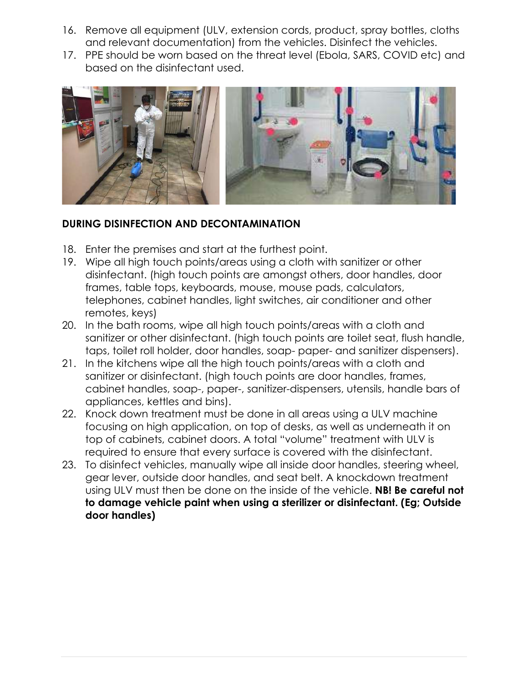- 16. Remove all equipment (ULV, extension cords, product, spray bottles, cloths and relevant documentation) from the vehicles. Disinfect the vehicles.
- 17. PPE should be worn based on the threat level (Ebola, SARS, COVID etc) and based on the disinfectant used.



#### **DURING DISINFECTION AND DECONTAMINATION**

- 18. Enter the premises and start at the furthest point.
- 19. Wipe all high touch points/areas using a cloth with sanitizer or other disinfectant. (high touch points are amongst others, door handles, door frames, table tops, keyboards, mouse, mouse pads, calculators, telephones, cabinet handles, light switches, air conditioner and other remotes, keys)
- 20. In the bath rooms, wipe all high touch points/areas with a cloth and sanitizer or other disinfectant. (high touch points are toilet seat, flush handle, taps, toilet roll holder, door handles, soap- paper- and sanitizer dispensers).
- 21. In the kitchens wipe all the high touch points/areas with a cloth and sanitizer or disinfectant. (high touch points are door handles, frames, cabinet handles, soap-, paper-, sanitizer-dispensers, utensils, handle bars of appliances, kettles and bins).
- 22. Knock down treatment must be done in all areas using a ULV machine focusing on high application, on top of desks, as well as underneath it on top of cabinets, cabinet doors. A total "volume" treatment with ULV is required to ensure that every surface is covered with the disinfectant.
- 23. To disinfect vehicles, manually wipe all inside door handles, steering wheel, gear lever, outside door handles, and seat belt. A knockdown treatment using ULV must then be done on the inside of the vehicle. **NB! Be careful not to damage vehicle paint when using a sterilizer or disinfectant. (Eg; Outside door handles)**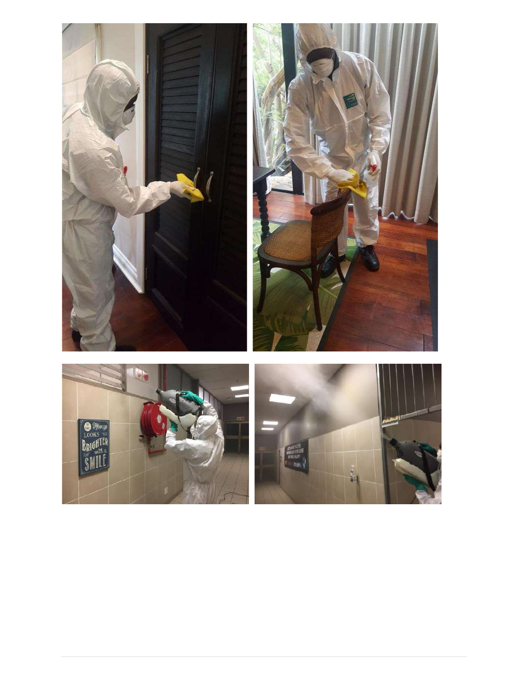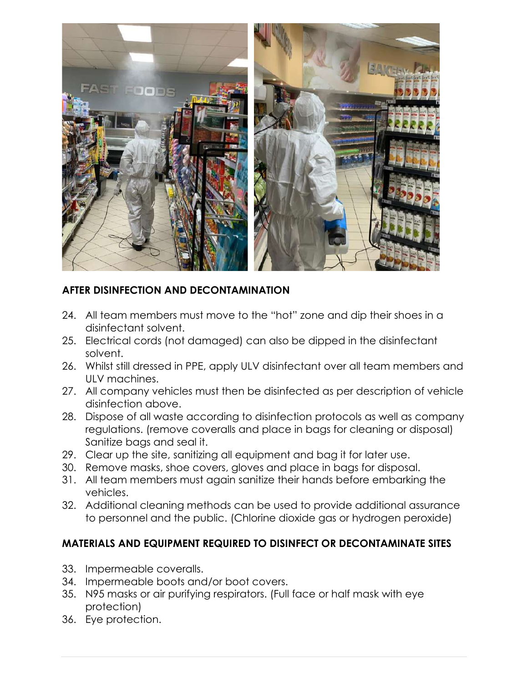

#### **AFTER DISINFECTION AND DECONTAMINATION**

- 24. All team members must move to the "hot" zone and dip their shoes in a disinfectant solvent.
- 25. Electrical cords (not damaged) can also be dipped in the disinfectant solvent.
- 26. Whilst still dressed in PPE, apply ULV disinfectant over all team members and ULV machines.
- 27. All company vehicles must then be disinfected as per description of vehicle disinfection above.
- 28. Dispose of all waste according to disinfection protocols as well as company regulations. (remove coveralls and place in bags for cleaning or disposal) Sanitize bags and seal it.
- 29. Clear up the site, sanitizing all equipment and bag it for later use.
- 30. Remove masks, shoe covers, gloves and place in bags for disposal.
- 31. All team members must again sanitize their hands before embarking the vehicles.
- 32. Additional cleaning methods can be used to provide additional assurance to personnel and the public. (Chlorine dioxide gas or hydrogen peroxide)

#### **MATERIALS AND EQUIPMENT REQUIRED TO DISINFECT OR DECONTAMINATE SITES**

- 33. Impermeable coveralls.
- 34. Impermeable boots and/or boot covers.
- 35. N95 masks or air purifying respirators. (Full face or half mask with eye protection)
- 36. Eye protection.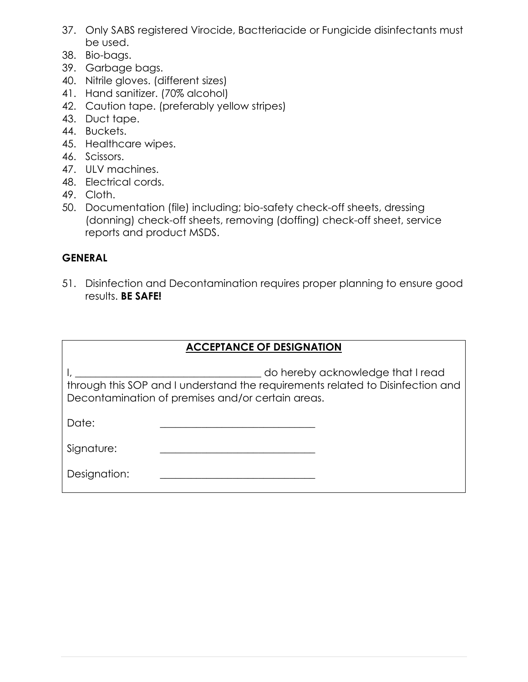- 37. Only SABS registered Virocide, Bactteriacide or Fungicide disinfectants must be used.
- 38. Bio-bags.
- 39. Garbage bags.
- 40. Nitrile gloves. (different sizes)
- 41. Hand sanitizer. (70% alcohol)
- 42. Caution tape. (preferably yellow stripes)
- 43. Duct tape.
- 44. Buckets.
- 45. Healthcare wipes.
- 46. Scissors.
- 47. ULV machines.
- 48. Electrical cords.
- 49. Cloth.
- 50. Documentation (file) including; bio-safety check-off sheets, dressing (donning) check-off sheets, removing (doffing) check-off sheet, service reports and product MSDS.

#### **GENERAL**

51. Disinfection and Decontamination requires proper planning to ensure good results. **BE SAFE!**

| <b>ACCEPTANCE OF DESIGNATION</b>                                                                                                                                         |  |  |  |  |  |  |
|--------------------------------------------------------------------------------------------------------------------------------------------------------------------------|--|--|--|--|--|--|
| do hereby acknowledge that I read<br>through this SOP and I understand the requirements related to Disinfection and<br>Decontamination of premises and/or certain areas. |  |  |  |  |  |  |
| Date:                                                                                                                                                                    |  |  |  |  |  |  |
| Signature:                                                                                                                                                               |  |  |  |  |  |  |
| Designation:                                                                                                                                                             |  |  |  |  |  |  |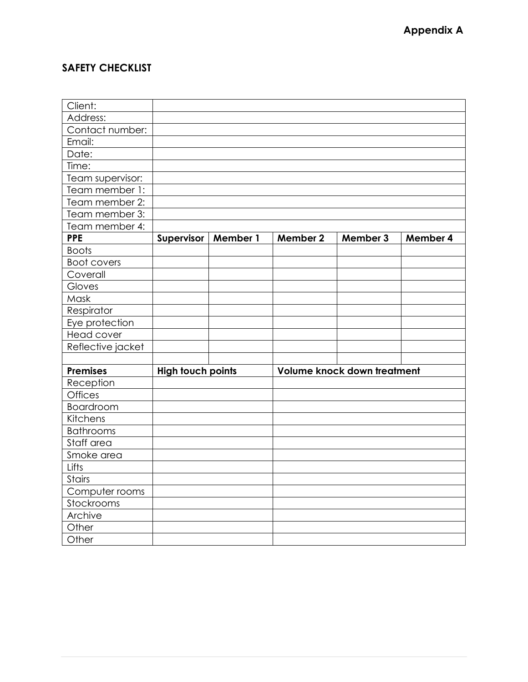#### **SAFETY CHECKLIST**

| Client:            |            |                          |          |                             |          |
|--------------------|------------|--------------------------|----------|-----------------------------|----------|
| Address:           |            |                          |          |                             |          |
| Contact number:    |            |                          |          |                             |          |
| Email:             |            |                          |          |                             |          |
| Date:              |            |                          |          |                             |          |
| Time:              |            |                          |          |                             |          |
| Team supervisor:   |            |                          |          |                             |          |
| Team member 1:     |            |                          |          |                             |          |
| Team member 2:     |            |                          |          |                             |          |
| Team member 3:     |            |                          |          |                             |          |
| Team member 4:     |            |                          |          |                             |          |
| <b>PPE</b>         | Supervisor | Member 1                 | Member 2 | Member 3                    | Member 4 |
| <b>Boots</b>       |            |                          |          |                             |          |
| <b>Boot covers</b> |            |                          |          |                             |          |
| Coverall           |            |                          |          |                             |          |
| Gloves             |            |                          |          |                             |          |
| Mask               |            |                          |          |                             |          |
| Respirator         |            |                          |          |                             |          |
| Eye protection     |            |                          |          |                             |          |
| Head cover         |            |                          |          |                             |          |
| Reflective jacket  |            |                          |          |                             |          |
|                    |            |                          |          |                             |          |
| <b>Premises</b>    |            | <b>High touch points</b> |          | Volume knock down treatment |          |
| Reception          |            |                          |          |                             |          |
| <b>Offices</b>     |            |                          |          |                             |          |
| Boardroom          |            |                          |          |                             |          |
| <b>Kitchens</b>    |            |                          |          |                             |          |
| <b>Bathrooms</b>   |            |                          |          |                             |          |
| Staff area         |            |                          |          |                             |          |
| Smoke area         |            |                          |          |                             |          |
| Lifts              |            |                          |          |                             |          |
| <b>Stairs</b>      |            |                          |          |                             |          |
| Computer rooms     |            |                          |          |                             |          |
| Stockrooms         |            |                          |          |                             |          |
| Archive            |            |                          |          |                             |          |
| Other              |            |                          |          |                             |          |
| Other              |            |                          |          |                             |          |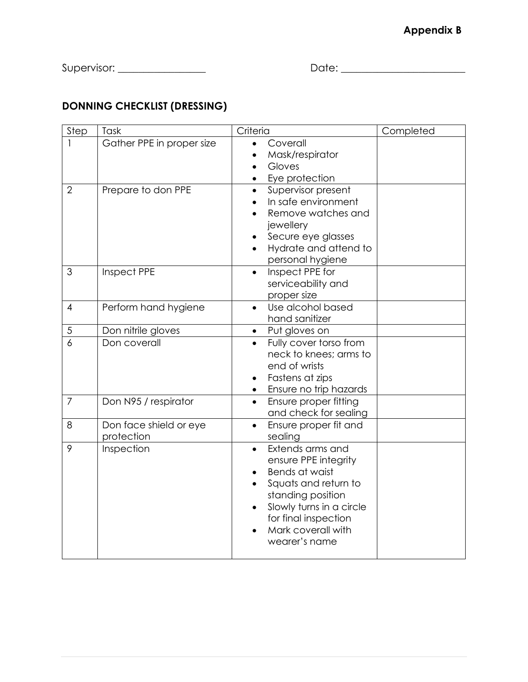### **DONNING CHECKLIST (DRESSING)**

| Step           | Task                                 | Criteria                                                                                                                                                                                                        | Completed |
|----------------|--------------------------------------|-----------------------------------------------------------------------------------------------------------------------------------------------------------------------------------------------------------------|-----------|
|                | Gather PPE in proper size            | Coverall<br>$\bullet$<br>Mask/respirator<br>Gloves<br>Eye protection                                                                                                                                            |           |
| $\overline{2}$ | Prepare to don PPE                   | Supervisor present<br>$\bullet$<br>In safe environment<br>Remove watches and<br>jewellery<br>Secure eye glasses<br>Hydrate and attend to<br>personal hygiene                                                    |           |
| 3              | Inspect PPE                          | Inspect PPE for<br>$\bullet$<br>serviceability and<br>proper size                                                                                                                                               |           |
| $\overline{4}$ | Perform hand hygiene                 | Use alcohol based<br>$\bullet$<br>hand sanitizer                                                                                                                                                                |           |
| $\sqrt{5}$     | Don nitrile gloves                   | Put gloves on<br>$\bullet$                                                                                                                                                                                      |           |
| 6              | Don coverall                         | Fully cover torso from<br>$\bullet$<br>neck to knees; arms to<br>end of wrists<br>Fastens at zips<br>Ensure no trip hazards<br>$\bullet$                                                                        |           |
| $\overline{7}$ | Don N95 / respirator                 | Ensure proper fitting<br>$\bullet$<br>and check for sealing                                                                                                                                                     |           |
| 8              | Don face shield or eye<br>protection | Ensure proper fit and<br>$\bullet$<br>sealing                                                                                                                                                                   |           |
| 9              | Inspection                           | Extends arms and<br>$\bullet$<br>ensure PPE integrity<br>Bends at waist<br>Squats and return to<br>standing position<br>Slowly turns in a circle<br>for final inspection<br>Mark coverall with<br>wearer's name |           |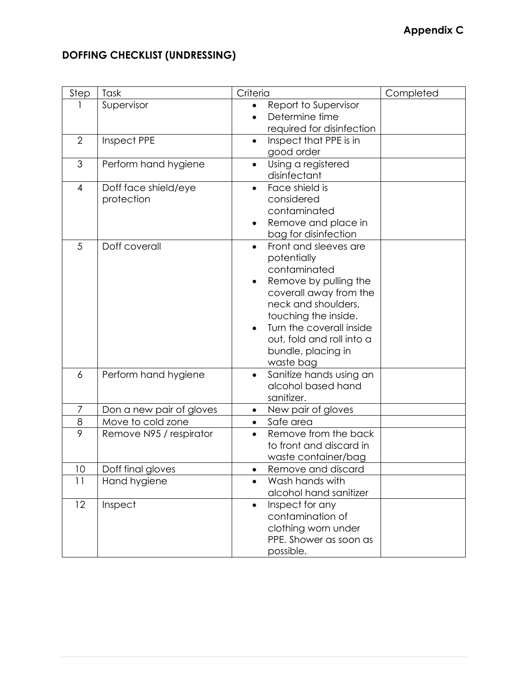### **DOFFING CHECKLIST (UNDRESSING)**

| Step           | Task                     | Criteria                            | Completed |
|----------------|--------------------------|-------------------------------------|-----------|
|                | Supervisor               | Report to Supervisor<br>$\bullet$   |           |
|                |                          | Determine time                      |           |
|                |                          | required for disinfection           |           |
| $\overline{2}$ | Inspect PPE              | Inspect that PPE is in<br>$\bullet$ |           |
|                |                          | good order                          |           |
| 3              | Perform hand hygiene     | Using a registered<br>$\bullet$     |           |
|                |                          | disinfectant                        |           |
| 4              | Doff face shield/eye     | Face shield is<br>$\bullet$         |           |
|                | protection               | considered                          |           |
|                |                          | contaminated                        |           |
|                |                          | Remove and place in                 |           |
|                |                          | bag for disinfection                |           |
| 5              | Doff coverall            | Front and sleeves are               |           |
|                |                          | potentially                         |           |
|                |                          | contaminated                        |           |
|                |                          | Remove by pulling the               |           |
|                |                          | coverall away from the              |           |
|                |                          | neck and shoulders,                 |           |
|                |                          | touching the inside.                |           |
|                |                          | Turn the coverall inside            |           |
|                |                          | out, fold and roll into a           |           |
|                |                          | bundle, placing in                  |           |
|                |                          | waste bag                           |           |
| 6              | Perform hand hygiene     | Sanitize hands using an             |           |
|                |                          | alcohol based hand                  |           |
|                |                          | sanitizer.                          |           |
| 7              | Don a new pair of gloves | New pair of gloves                  |           |
| 8              | Move to cold zone        | Safe area<br>$\bullet$              |           |
| $\overline{9}$ | Remove N95 / respirator  | Remove from the back<br>$\bullet$   |           |
|                |                          | to front and discard in             |           |
|                |                          | waste container/bag                 |           |
| 10             | Doff final gloves        | Remove and discard<br>٠             |           |
| 11             | Hand hygiene             | Wash hands with                     |           |
|                |                          | alcohol hand sanitizer              |           |
| 12             | Inspect                  | Inspect for any<br>$\bullet$        |           |
|                |                          | contamination of                    |           |
|                |                          | clothing worn under                 |           |
|                |                          | PPE. Shower as soon as              |           |
|                |                          | possible.                           |           |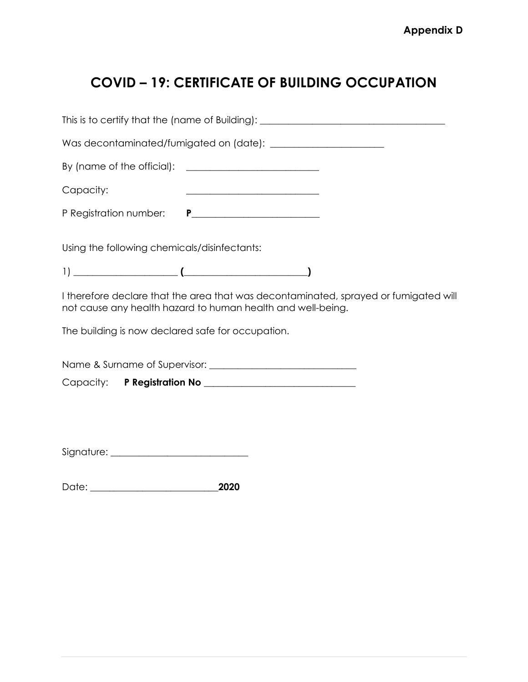## **COVID – 19: CERTIFICATE OF BUILDING OCCUPATION**

This is to certify that the (name of Building): *\_\_\_\_\_\_\_\_\_\_\_\_\_\_\_\_\_\_\_\_\_\_\_\_\_\_\_\_\_\_\_\_* Was decontaminated/fumigated on (date): \_\_\_\_\_\_\_\_\_\_\_\_\_\_\_\_\_\_\_\_\_\_\_\_ By (name of the official): **\_\_\_\_\_\_\_\_\_\_\_\_\_\_\_\_\_\_\_\_\_\_\_\_\_\_\_\_** Capacity: **\_\_\_\_\_\_\_\_\_\_\_\_\_\_\_\_\_\_\_\_\_\_\_\_\_\_\_\_** P Registration number: **P\_\_\_\_\_\_\_\_\_\_\_\_** Using the following chemicals/disinfectants: 1) **\_\_\_\_\_\_\_\_\_\_\_\_\_\_\_\_\_\_\_\_\_\_ (\_\_\_\_\_\_\_\_\_\_\_\_\_\_\_\_\_\_\_\_\_\_\_\_\_\_)**

I therefore declare that the area that was decontaminated, sprayed or fumigated will not cause any health hazard to human health and well-being.

The building is now declared safe for occupation.

Name & Surname of Supervisor: **\_\_\_\_\_\_\_\_\_\_\_\_\_\_\_\_\_\_\_\_\_\_\_\_\_\_\_\_\_\_\_**

Capacity: **P Registration No \_\_\_\_\_\_\_\_\_\_\_\_\_\_\_\_\_\_\_\_\_\_\_\_\_\_\_\_\_\_\_\_**

Signature: \_\_\_\_\_\_\_\_\_\_\_\_\_\_\_\_\_\_\_\_\_\_\_\_\_\_\_\_\_

Date: **\_\_\_\_\_\_\_\_\_\_\_\_\_\_\_\_\_\_\_\_\_\_\_\_\_\_\_2020**